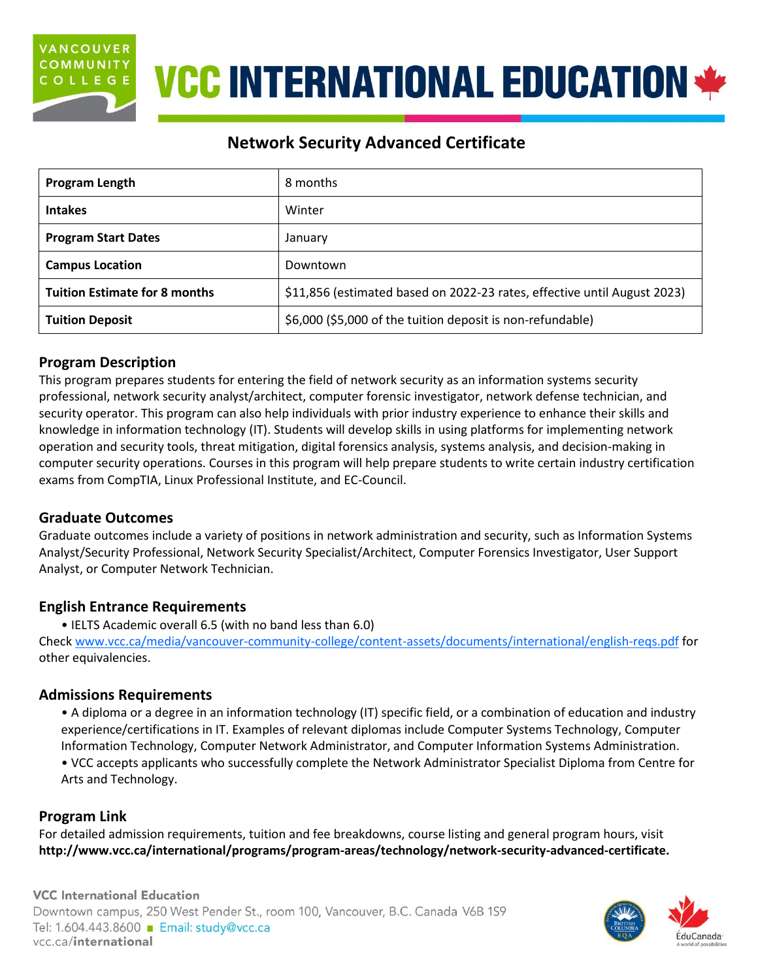

## **VCC INTERNATIONAL EDUCATION \***

### **Network Security Advanced Certificate**

| Program Length                       | 8 months                                                                 |  |
|--------------------------------------|--------------------------------------------------------------------------|--|
| <b>Intakes</b>                       | Winter                                                                   |  |
| <b>Program Start Dates</b>           | January                                                                  |  |
| <b>Campus Location</b>               | Downtown                                                                 |  |
| <b>Tuition Estimate for 8 months</b> | \$11,856 (estimated based on 2022-23 rates, effective until August 2023) |  |
| <b>Tuition Deposit</b>               | \$6,000 (\$5,000 of the tuition deposit is non-refundable)               |  |

### **Program Description**

This program prepares students for entering the field of network security as an information systems security professional, network security analyst/architect, computer forensic investigator, network defense technician, and security operator. This program can also help individuals with prior industry experience to enhance their skills and knowledge in information technology (IT). Students will develop skills in using platforms for implementing network operation and security tools, threat mitigation, digital forensics analysis, systems analysis, and decision-making in computer security operations. Courses in this program will help prepare students to write certain industry certification exams from CompTIA, Linux Professional Institute, and EC-Council.

### **Graduate Outcomes**

Graduate outcomes include a variety of positions in network administration and security, such as Information Systems Analyst/Security Professional, Network Security Specialist/Architect, Computer Forensics Investigator, User Support Analyst, or Computer Network Technician.

### **English Entrance Requirements**

• IELTS Academic overall 6.5 (with no band less than 6.0)

Check [www.vcc.ca/media/vancouver-community-college/content-assets/documents/international/english-reqs.pdf](http://www.vcc.ca/media/vancouver-community-college/content-assets/documents/international/english-reqs.pdf) for other equivalencies.

### **Admissions Requirements**

• A diploma or a degree in an information technology (IT) specific field, or a combination of education and industry experience/certifications in IT. Examples of relevant diplomas include Computer Systems Technology, Computer Information Technology, Computer Network Administrator, and Computer Information Systems Administration.

• VCC accepts applicants who successfully complete the Network Administrator Specialist Diploma from Centre for Arts and Technology.

### **Program Link**

For detailed admission requirements, tuition and fee breakdowns, course listing and general program hours, visit **[http://www.vcc.ca/international/programs/program-areas/technology/network-security-advanced-certificate.](http://www.vcc.ca/international/programs/program-areas/technology/network-security-advanced-certificate)**